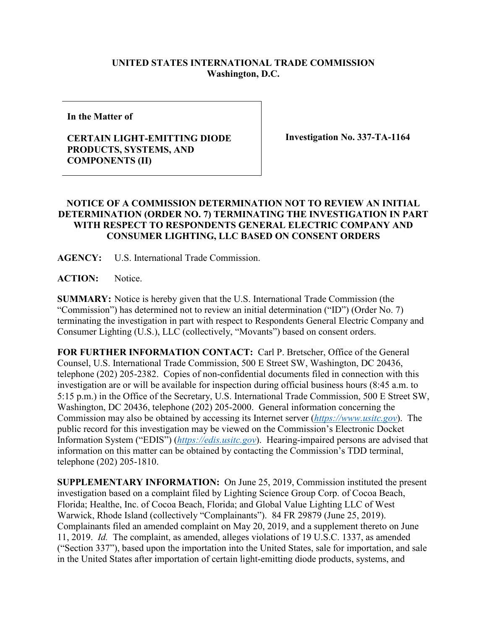## **UNITED STATES INTERNATIONAL TRADE COMMISSION Washington, D.C.**

**In the Matter of**

## **CERTAIN LIGHT-EMITTING DIODE PRODUCTS, SYSTEMS, AND COMPONENTS (II)**

**Investigation No. 337-TA-1164**

## **NOTICE OF A COMMISSION DETERMINATION NOT TO REVIEW AN INITIAL DETERMINATION (ORDER NO. 7) TERMINATING THE INVESTIGATION IN PART WITH RESPECT TO RESPONDENTS GENERAL ELECTRIC COMPANY AND CONSUMER LIGHTING, LLC BASED ON CONSENT ORDERS**

**AGENCY:** U.S. International Trade Commission.

ACTION: Notice.

**SUMMARY:** Notice is hereby given that the U.S. International Trade Commission (the "Commission") has determined not to review an initial determination ("ID") (Order No. 7) terminating the investigation in part with respect to Respondents General Electric Company and Consumer Lighting (U.S.), LLC (collectively, "Movants") based on consent orders.

**FOR FURTHER INFORMATION CONTACT:** Carl P. Bretscher, Office of the General Counsel, U.S. International Trade Commission, 500 E Street SW, Washington, DC 20436, telephone (202) 205-2382. Copies of non-confidential documents filed in connection with this investigation are or will be available for inspection during official business hours (8:45 a.m. to 5:15 p.m.) in the Office of the Secretary, U.S. International Trade Commission, 500 E Street SW, Washington, DC 20436, telephone (202) 205-2000. General information concerning the Commission may also be obtained by accessing its Internet server (*[https://www.usitc.gov](https://www.usitc.gov/)*). The public record for this investigation may be viewed on the Commission's Electronic Docket Information System ("EDIS") (*[https://edis.usitc.gov](https://edis.usitc.gov/)*). Hearing-impaired persons are advised that information on this matter can be obtained by contacting the Commission's TDD terminal, telephone (202) 205-1810.

**SUPPLEMENTARY INFORMATION:** On June 25, 2019, Commission instituted the present investigation based on a complaint filed by Lighting Science Group Corp. of Cocoa Beach, Florida; Healthe, Inc. of Cocoa Beach, Florida; and Global Value Lighting LLC of West Warwick, Rhode Island (collectively "Complainants"). 84 FR 29879 (June 25, 2019). Complainants filed an amended complaint on May 20, 2019, and a supplement thereto on June 11, 2019. *Id.* The complaint, as amended, alleges violations of 19 U.S.C. 1337, as amended ("Section 337"), based upon the importation into the United States, sale for importation, and sale in the United States after importation of certain light-emitting diode products, systems, and